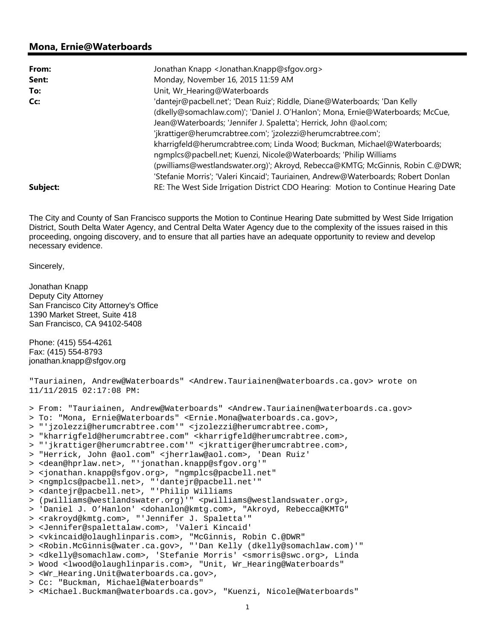## **Mona, Ernie@Waterboards**

| From:    | Jonathan Knapp < Jonathan.Knapp@sfgov.org>                                         |
|----------|------------------------------------------------------------------------------------|
| Sent:    | Monday, November 16, 2015 11:59 AM                                                 |
| To:      | Unit, Wr_Hearing@Waterboards                                                       |
| Cc:      | 'dantejr@pacbell.net'; 'Dean Ruiz'; Riddle, Diane@Waterboards; 'Dan Kelly          |
|          | (dkelly@somachlaw.com)'; 'Daniel J. O'Hanlon'; Mona, Ernie@Waterboards; McCue,     |
|          | Jean@Waterboards; 'Jennifer J. Spaletta'; Herrick, John @aol.com;                  |
|          | 'jkrattiger@herumcrabtree.com'; 'jzolezzi@herumcrabtree.com';                      |
|          | kharrigfeld@herumcrabtree.com; Linda Wood; Buckman, Michael@Waterboards;           |
|          | ngmplcs@pacbell.net; Kuenzi, Nicole@Waterboards; 'Philip Williams                  |
|          | (pwilliams@westlandswater.org)'; Akroyd, Rebecca@KMTG; McGinnis, Robin C.@DWR;     |
|          | 'Stefanie Morris'; 'Valeri Kincaid'; Tauriainen, Andrew@Waterboards; Robert Donlan |
| Subject: | RE: The West Side Irrigation District CDO Hearing: Motion to Continue Hearing Date |

The City and County of San Francisco supports the Motion to Continue Hearing Date submitted by West Side Irrigation District, South Delta Water Agency, and Central Delta Water Agency due to the complexity of the issues raised in this proceeding, ongoing discovery, and to ensure that all parties have an adequate opportunity to review and develop necessary evidence.

Sincerely,

Jonathan Knapp Deputy City Attorney San Francisco City Attorney's Office 1390 Market Street, Suite 418 San Francisco, CA 94102-5408 Phone: (415) 554-4261 Fax: (415) 554-8793 jonathan.knapp@sfgov.org "Tauriainen, Andrew@Waterboards" <Andrew.Tauriainen@waterboards.ca.gov> wrote on 11/11/2015 02:17:08 PM: > From: "Tauriainen, Andrew@Waterboards" <Andrew.Tauriainen@waterboards.ca.gov> > To: "Mona, Ernie@Waterboards" <Ernie.Mona@waterboards.ca.gov>, > "'jzolezzi@herumcrabtree.com'" <jzolezzi@herumcrabtree.com>, > "kharrigfeld@herumcrabtree.com" <kharrigfeld@herumcrabtree.com>, > "'jkrattiger@herumcrabtree.com'" <jkrattiger@herumcrabtree.com>, > "Herrick, John @aol.com" <jherrlaw@aol.com>, 'Dean Ruiz' > <dean@hprlaw.net>, "'jonathan.knapp@sfgov.org'" > <jonathan.knapp@sfgov.org>, "ngmplcs@pacbell.net" > <ngmplcs@pacbell.net>, "'dantejr@pacbell.net'" > <dantejr@pacbell.net>, "'Philip Williams > (pwilliams@westlandswater.org)'" <pwilliams@westlandswater.org>, > 'Daniel J. O'Hanlon' <dohanlon@kmtg.com>, "Akroyd, Rebecca@KMTG" > <rakroyd@kmtg.com>, "'Jennifer J. Spaletta'" > <Jennifer@spalettalaw.com>, 'Valeri Kincaid' > <vkincaid@olaughlinparis.com>, "McGinnis, Robin C.@DWR" > <Robin.McGinnis@water.ca.gov>, "'Dan Kelly (dkelly@somachlaw.com)'" > <dkelly@somachlaw.com>, 'Stefanie Morris' <smorris@swc.org>, Linda > Wood <lwood@olaughlinparis.com>, "Unit, Wr\_Hearing@Waterboards" > <Wr\_Hearing.Unit@waterboards.ca.gov>, > Cc: "Buckman, Michael@Waterboards" > <Michael.Buckman@waterboards.ca.gov>, "Kuenzi, Nicole@Waterboards"

1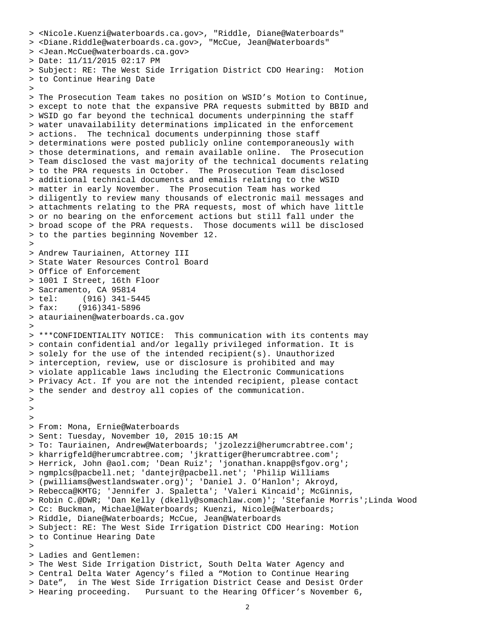```
> <Nicole.Kuenzi@waterboards.ca.gov>, "Riddle, Diane@Waterboards" 
> <Diane.Riddle@waterboards.ca.gov>, "McCue, Jean@Waterboards" 
> <Jean.McCue@waterboards.ca.gov> > Date: 11/11/2015 02:17 PM > Subject: RE: The West Side Irrigation District CDO Hearing: Motion 
> to Continue Hearing Date >> The Prosecution Team takes no position on WSID's Motion to Continue, 
> except to note that the expansive PRA requests submitted by BBID and 
> WSID go far beyond the technical documents underpinning the staff 
> water unavailability determinations implicated in the enforcement 
> actions. The technical documents underpinning those staff 
> determinations were posted publicly online contemporaneously with 
> those determinations, and remain available online. The Prosecution 
> Team disclosed the vast majority of the technical documents relating 
> to the PRA requests in October. The Prosecution Team disclosed 
> additional technical documents and emails relating to the WSID 
> matter in early November. The Prosecution Team has worked 
> diligently to review many thousands of electronic mail messages and 
> attachments relating to the PRA requests, most of which have little 
> or no bearing on the enforcement actions but still fall under the 
> broad scope of the PRA requests. Those documents will be disclosed 
> to the parties beginning November 12. > > Andrew Tauriainen, Attorney III > State Water Resources Control Board > Office of Enforcement > 1001 I Street, 16th Floor > Sacramento, CA 95814 > tel: (916) 341-5445 > fax: (916)341-5896 > atauriainen@waterboards.ca.gov > > ***CONFIDENTIALITY NOTICE: This communication with its contents may 
> contain confidential and/or legally privileged information. It is 
> solely for the use of the intended recipient(s). Unauthorized 
> interception, review, use or disclosure is prohibited and may 
> violate applicable laws including the Electronic Communications 
> Privacy Act. If you are not the intended recipient, please contact 
> the sender and destroy all copies of the communication. ><br>><br>> From: Mona, Ernie@Waterboards
> Sent: Tuesday, November 10, 2015 10:15 AM 
> To: Tauriainen, Andrew@Waterboards; 'jzolezzi@herumcrabtree.com'; 
> kharrigfeld@herumcrabtree.com; 'jkrattiger@herumcrabtree.com'; 
> Herrick, John @aol.com; 'Dean Ruiz'; 'jonathan.knapp@sfgov.org'; 
> ngmplcs@pacbell.net; 'dantejr@pacbell.net'; 'Philip Williams 
> (pwilliams@westlandswater.org)'; 'Daniel J. O'Hanlon'; Akroyd, 
> Rebecca@KMTG; 'Jennifer J. Spaletta'; 'Valeri Kincaid'; McGinnis, 
> Robin C.@DWR; 'Dan Kelly (dkelly@somachlaw.com)'; 'Stefanie Morris';Linda Wood 
> Cc: Buckman, Michael@Waterboards; Kuenzi, Nicole@Waterboards; 
> Riddle, Diane@Waterboards; McCue, Jean@Waterboards 
> Subject: RE: The West Side Irrigation District CDO Hearing: Motion 
> to Continue Hearing Date > > Ladies and Gentlemen: > The West Side Irrigation District, South Delta Water Agency and 
> Central Delta Water Agency's filed a "Motion to Continue Hearing 
> Date", in The West Side Irrigation District Cease and Desist Order 
> Hearing proceeding. Pursuant to the Hearing Officer's November 6,
```